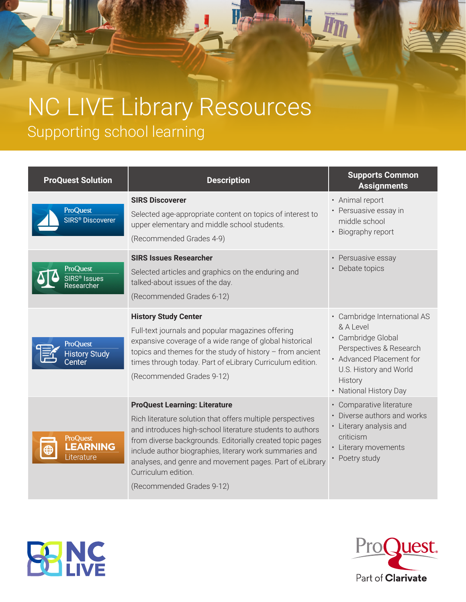## NC LIVE Library Resources Supporting school learning

| <b>ProQuest Solution</b>                              | <b>Description</b>                                                                                                                                                                                                                                                                                                                                                                                      | <b>Supports Common</b><br><b>Assignments</b>                                                                                                                                          |
|-------------------------------------------------------|---------------------------------------------------------------------------------------------------------------------------------------------------------------------------------------------------------------------------------------------------------------------------------------------------------------------------------------------------------------------------------------------------------|---------------------------------------------------------------------------------------------------------------------------------------------------------------------------------------|
| <b>ProQuest</b><br><b>SIRS<sup>®</sup></b> Discoverer | <b>SIRS Discoverer</b><br>Selected age-appropriate content on topics of interest to<br>upper elementary and middle school students.<br>(Recommended Grades 4-9)                                                                                                                                                                                                                                         | • Animal report<br>• Persuasive essay in<br>middle school<br>• Biography report                                                                                                       |
| <b>ProQuest</b><br>SIRS® Issues<br>'esearcher         | <b>SIRS Issues Researcher</b><br>Selected articles and graphics on the enduring and<br>talked-about issues of the day.<br>(Recommended Grades 6-12)                                                                                                                                                                                                                                                     | • Persuasive essay<br>• Debate topics                                                                                                                                                 |
| ProQuest<br><b>History Study</b><br>Center            | <b>History Study Center</b><br>Full-text journals and popular magazines offering<br>expansive coverage of a wide range of global historical<br>topics and themes for the study of history $-$ from ancient<br>times through today. Part of eLibrary Curriculum edition.<br>(Recommended Grades 9-12)                                                                                                    | · Cambridge International AS<br>& A Level<br>· Cambridge Global<br>Perspectives & Research<br>• Advanced Placement for<br>U.S. History and World<br>History<br>• National History Day |
| ProQuest<br><b>LEARNING</b><br>Literature             | <b>ProQuest Learning: Literature</b><br>Rich literature solution that offers multiple perspectives<br>and introduces high-school literature students to authors<br>from diverse backgrounds. Editorially created topic pages<br>include author biographies, literary work summaries and<br>analyses, and genre and movement pages. Part of eLibrary<br>Curriculum edition.<br>(Recommended Grades 9-12) | • Comparative literature<br>• Diverse authors and works<br>• Literary analysis and<br>criticism<br>• Literary movements<br>• Poetry study                                             |

ITh

Incol